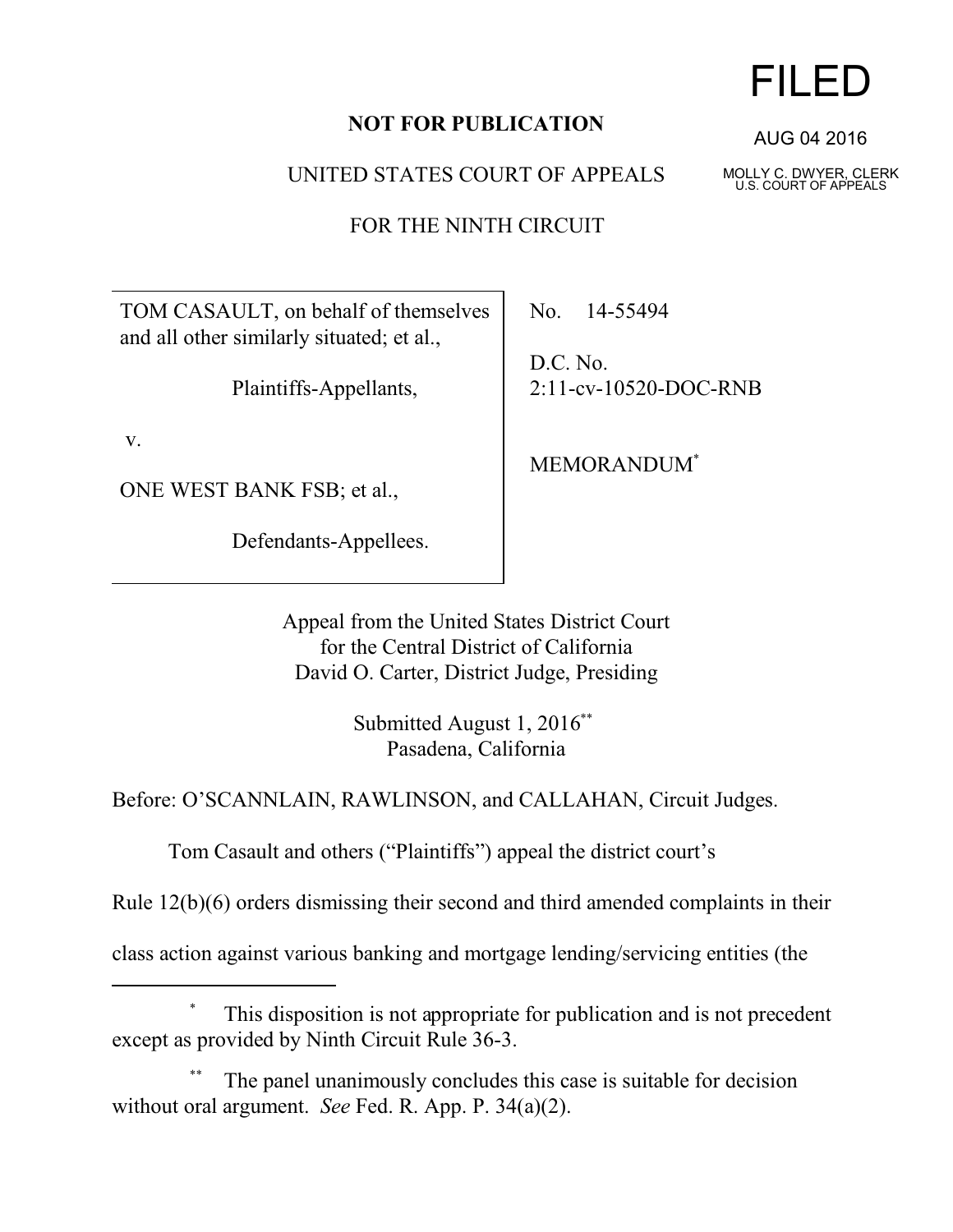## **NOT FOR PUBLICATION**

UNITED STATES COURT OF APPEALS

FOR THE NINTH CIRCUIT

TOM CASAULT, on behalf of themselves and all other similarly situated; et al.,

Plaintiffs-Appellants,

v.

ONE WEST BANK FSB; et al.,

Defendants-Appellees.

No. 14-55494

D.C. No. 2:11-cv-10520-DOC-RNB

MEMORANDUM\*

Appeal from the United States District Court for the Central District of California David O. Carter, District Judge, Presiding

> Submitted August 1, 2016\*\* Pasadena, California

Before: O'SCANNLAIN, RAWLINSON, and CALLAHAN, Circuit Judges.

Tom Casault and others ("Plaintiffs") appeal the district court's

Rule 12(b)(6) orders dismissing their second and third amended complaints in their

class action against various banking and mortgage lending/servicing entities (the

## This disposition is not appropriate for publication and is not precedent except as provided by Ninth Circuit Rule 36-3.

The panel unanimously concludes this case is suitable for decision without oral argument. *See* Fed. R. App. P. 34(a)(2).

## FILED

AUG 04 2016

MOLLY C. DWYER, CLERK U.S. COURT OF APPEALS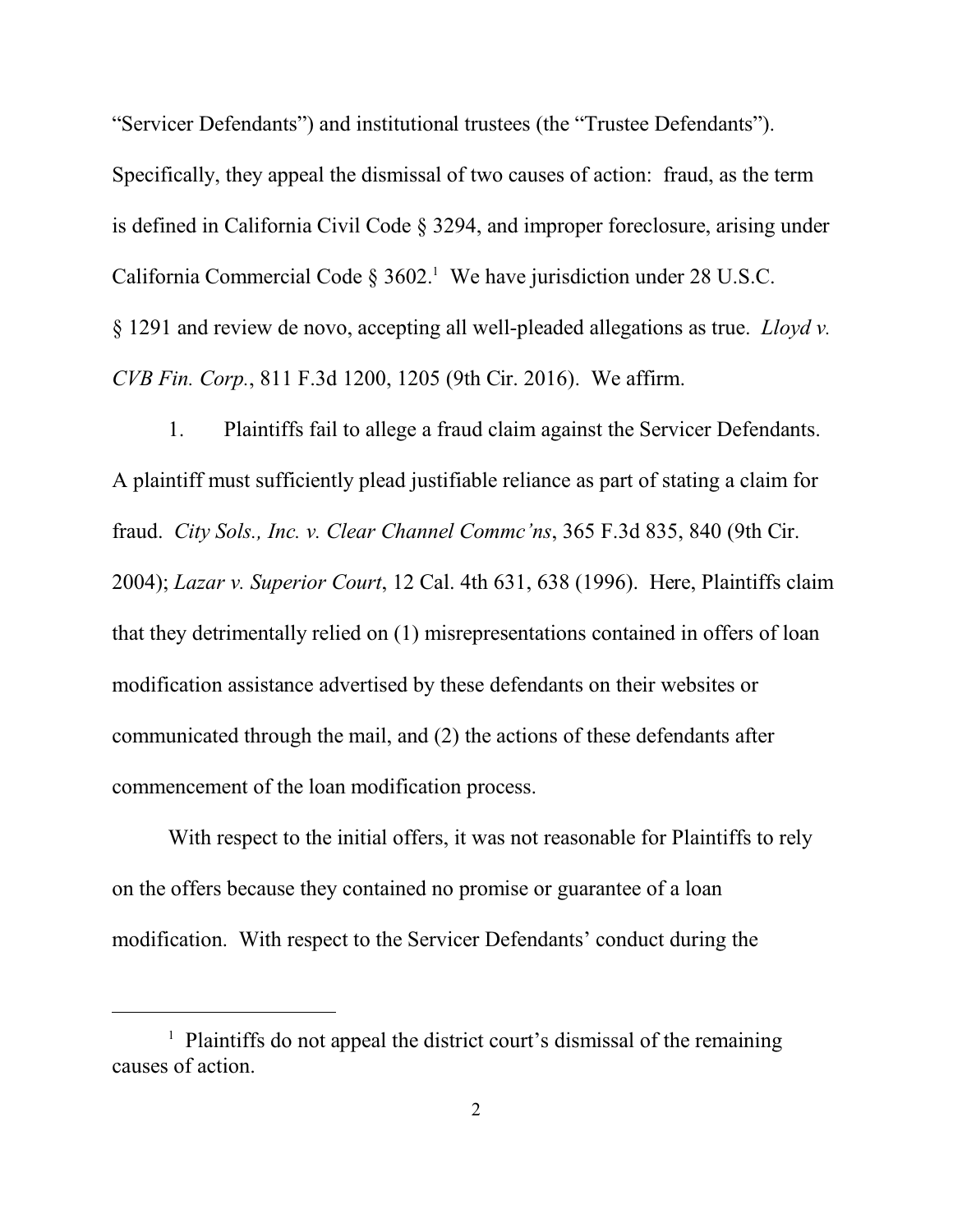"Servicer Defendants") and institutional trustees (the "Trustee Defendants"). Specifically, they appeal the dismissal of two causes of action: fraud, as the term is defined in California Civil Code § 3294, and improper foreclosure, arising under California Commercial Code  $\S 3602$ .<sup>1</sup> We have jurisdiction under 28 U.S.C. § 1291 and review de novo, accepting all well-pleaded allegations as true. *Lloyd v. CVB Fin. Corp.*, 811 F.3d 1200, 1205 (9th Cir. 2016). We affirm.

1. Plaintiffs fail to allege a fraud claim against the Servicer Defendants. A plaintiff must sufficiently plead justifiable reliance as part of stating a claim for fraud. *City Sols., Inc. v. Clear Channel Commc'ns*, 365 F.3d 835, 840 (9th Cir. 2004); *Lazar v. Superior Court*, 12 Cal. 4th 631, 638 (1996). Here, Plaintiffs claim that they detrimentally relied on (1) misrepresentations contained in offers of loan modification assistance advertised by these defendants on their websites or communicated through the mail, and (2) the actions of these defendants after commencement of the loan modification process.

With respect to the initial offers, it was not reasonable for Plaintiffs to rely on the offers because they contained no promise or guarantee of a loan modification. With respect to the Servicer Defendants' conduct during the

<sup>&</sup>lt;sup>1</sup> Plaintiffs do not appeal the district court's dismissal of the remaining causes of action.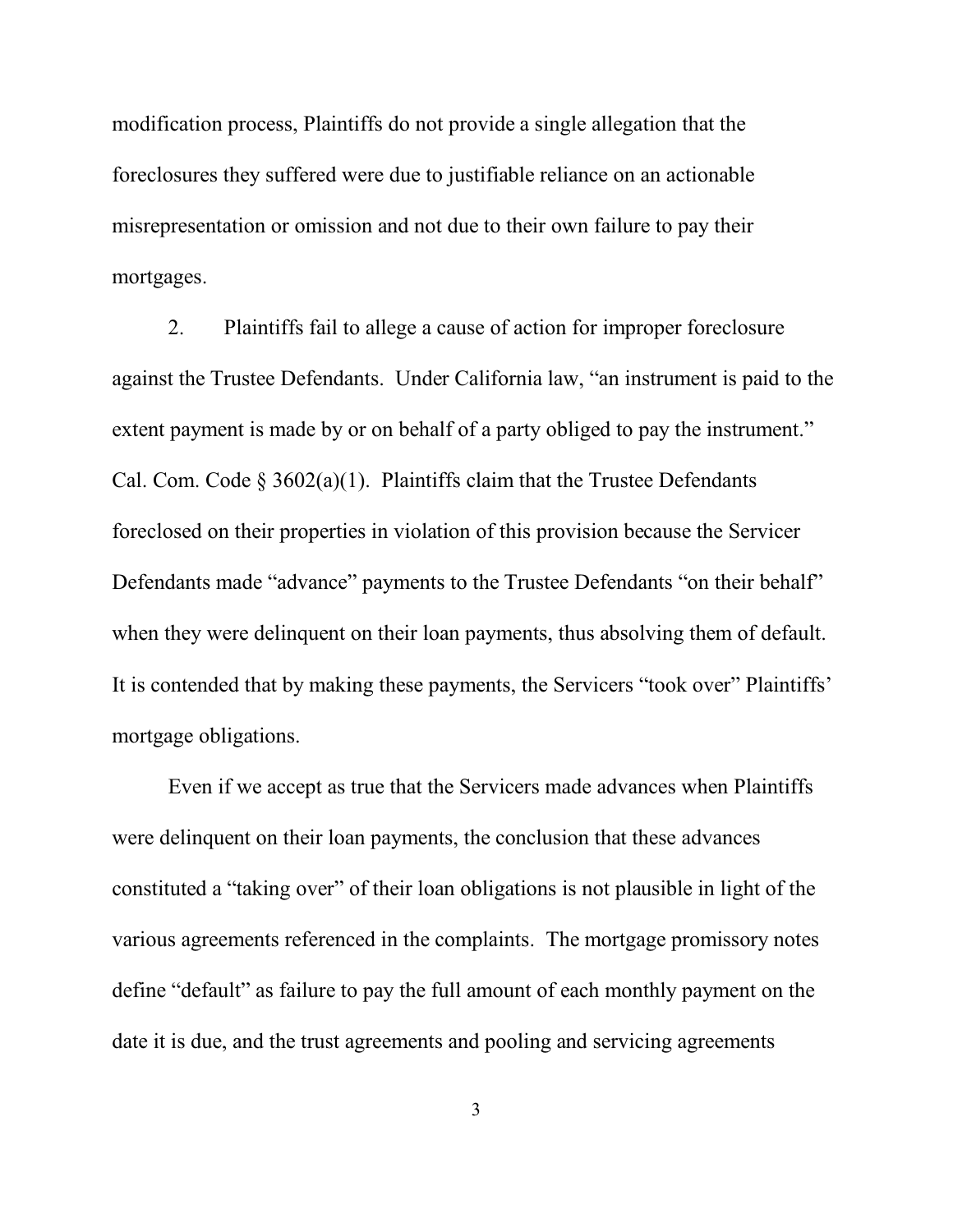modification process, Plaintiffs do not provide a single allegation that the foreclosures they suffered were due to justifiable reliance on an actionable misrepresentation or omission and not due to their own failure to pay their mortgages.

2. Plaintiffs fail to allege a cause of action for improper foreclosure against the Trustee Defendants. Under California law, "an instrument is paid to the extent payment is made by or on behalf of a party obliged to pay the instrument." Cal. Com. Code  $\S 3602(a)(1)$ . Plaintiffs claim that the Trustee Defendants foreclosed on their properties in violation of this provision because the Servicer Defendants made "advance" payments to the Trustee Defendants "on their behalf" when they were delinquent on their loan payments, thus absolving them of default. It is contended that by making these payments, the Servicers "took over" Plaintiffs' mortgage obligations.

Even if we accept as true that the Servicers made advances when Plaintiffs were delinquent on their loan payments, the conclusion that these advances constituted a "taking over" of their loan obligations is not plausible in light of the various agreements referenced in the complaints. The mortgage promissory notes define "default" as failure to pay the full amount of each monthly payment on the date it is due, and the trust agreements and pooling and servicing agreements